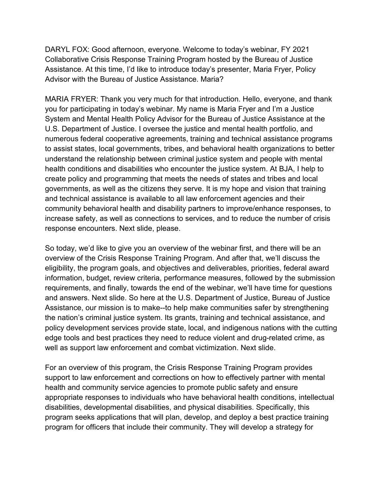Advisor with the Bureau of Justice Assistance. Maria? DARYL FOX: Good afternoon, everyone. Welcome to today's webinar, FY 2021 Collaborative Crisis Response Training Program hosted by the Bureau of Justice Assistance. At this time, I'd like to introduce today's presenter, Maria Fryer, Policy

 health conditions and disabilities who encounter the justice system. At BJA, I help to create policy and programming that meets the needs of states and tribes and local response encounters. Next slide, please. MARIA FRYER: Thank you very much for that introduction. Hello, everyone, and thank you for participating in today's webinar. My name is Maria Fryer and I'm a Justice System and Mental Health Policy Advisor for the Bureau of Justice Assistance at the U.S. Department of Justice. I oversee the justice and mental health portfolio, and numerous federal cooperative agreements, training and technical assistance programs to assist states, local governments, tribes, and behavioral health organizations to better understand the relationship between criminal justice system and people with mental governments, as well as the citizens they serve. It is my hope and vision that training and technical assistance is available to all law enforcement agencies and their community behavioral health and disability partners to improve/enhance responses, to increase safety, as well as connections to services, and to reduce the number of crisis

 eligibility, the program goals, and objectives and deliverables, priorities, federal award and answers. Next slide. So here at the U.S. Department of Justice, Bureau of Justice well as support law enforcement and combat victimization. Next slide. So today, we'd like to give you an overview of the webinar first, and there will be an overview of the Crisis Response Training Program. And after that, we'll discuss the information, budget, review criteria, performance measures, followed by the submission requirements, and finally, towards the end of the webinar, we'll have time for questions Assistance, our mission is to make--to help make communities safer by strengthening the nation's criminal justice system. Its grants, training and technical assistance, and policy development services provide state, local, and indigenous nations with the cutting edge tools and best practices they need to reduce violent and drug-related crime, as

 program for officers that include their community. They will develop a strategy for For an overview of this program, the Crisis Response Training Program provides support to law enforcement and corrections on how to effectively partner with mental health and community service agencies to promote public safety and ensure appropriate responses to individuals who have behavioral health conditions, intellectual disabilities, developmental disabilities, and physical disabilities. Specifically, this program seeks applications that will plan, develop, and deploy a best practice training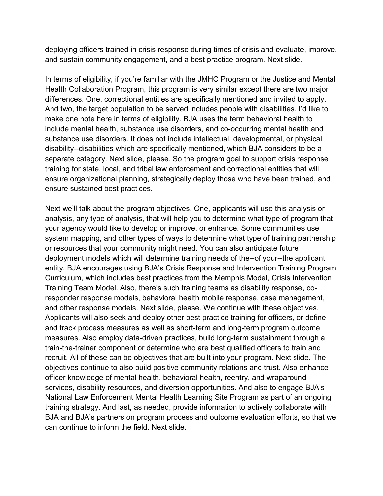and sustain community engagement, and a best practice program. Next slide. deploying officers trained in crisis response during times of crisis and evaluate, improve,

 make one note here in terms of eligibility. BJA uses the term behavioral health to training for state, local, and tribal law enforcement and correctional entities that will ensure sustained best practices. In terms of eligibility, if you're familiar with the JMHC Program or the Justice and Mental Health Collaboration Program, this program is very similar except there are two major differences. One, correctional entities are specifically mentioned and invited to apply. And two, the target population to be served includes people with disabilities. I'd like to include mental health, substance use disorders, and co-occurring mental health and substance use disorders. It does not include intellectual, developmental, or physical disability--disabilities which are specifically mentioned, which BJA considers to be a separate category. Next slide, please. So the program goal to support crisis response ensure organizational planning, strategically deploy those who have been trained, and

 Next we'll talk about the program objectives. One, applicants will use this analysis or system mapping, and other types of ways to determine what type of training partnership deployment models which will determine training needs of the--of your--the applicant entity. BJA encourages using BJA's Crisis Response and Intervention Training Program recruit. All of these can be objectives that are built into your program. Next slide. The officer knowledge of mental health, behavioral health, reentry, and wraparound can continue to inform the field. Next slide. analysis, any type of analysis, that will help you to determine what type of program that your agency would like to develop or improve, or enhance. Some communities use or resources that your community might need. You can also anticipate future Curriculum, which includes best practices from the Memphis Model, Crisis Intervention Training Team Model. Also, there's such training teams as disability response, coresponder response models, behavioral health mobile response, case management, and other response models. Next slide, please. We continue with these objectives. Applicants will also seek and deploy other best practice training for officers, or define and track process measures as well as short-term and long-term program outcome measures. Also employ data-driven practices, build long-term sustainment through a train-the-trainer component or determine who are best qualified officers to train and objectives continue to also build positive community relations and trust. Also enhance services, disability resources, and diversion opportunities. And also to engage BJA's National Law Enforcement Mental Health Learning Site Program as part of an ongoing training strategy. And last, as needed, provide information to actively collaborate with BJA and BJA's partners on program process and outcome evaluation efforts, so that we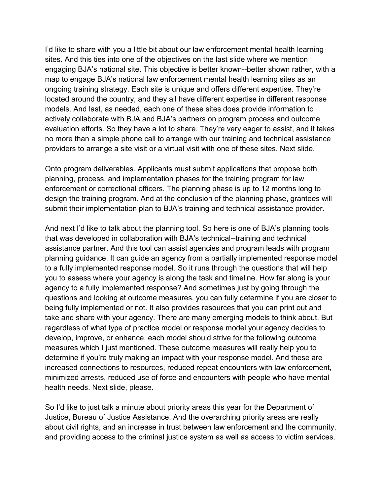I'd like to share with you a little bit about our law enforcement mental health learning map to engage BJA's national law enforcement mental health learning sites as an models. And last, as needed, each one of these sites does provide information to providers to arrange a site visit or a virtual visit with one of these sites. Next slide. sites. And this ties into one of the objectives on the last slide where we mention engaging BJA's national site. This objective is better known--better shown rather, with a ongoing training strategy. Each site is unique and offers different expertise. They're located around the country, and they all have different expertise in different response actively collaborate with BJA and BJA's partners on program process and outcome evaluation efforts. So they have a lot to share. They're very eager to assist, and it takes no more than a simple phone call to arrange with our training and technical assistance

 planning, process, and implementation phases for the training program for law submit their implementation plan to BJA's training and technical assistance provider. Onto program deliverables. Applicants must submit applications that propose both enforcement or correctional officers. The planning phase is up to 12 months long to design the training program. And at the conclusion of the planning phase, grantees will

 And next I'd like to talk about the planning tool. So here is one of BJA's planning tools develop, improve, or enhance, each model should strive for the following outcome health needs. Next slide, please. that was developed in collaboration with BJA's technical--training and technical assistance partner. And this tool can assist agencies and program leads with program planning guidance. It can guide an agency from a partially implemented response model to a fully implemented response model. So it runs through the questions that will help you to assess where your agency is along the task and timeline. How far along is your agency to a fully implemented response? And sometimes just by going through the questions and looking at outcome measures, you can fully determine if you are closer to being fully implemented or not. It also provides resources that you can print out and take and share with your agency. There are many emerging models to think about. But regardless of what type of practice model or response model your agency decides to measures which I just mentioned. These outcome measures will really help you to determine if you're truly making an impact with your response model. And these are increased connections to resources, reduced repeat encounters with law enforcement, minimized arrests, reduced use of force and encounters with people who have mental

So I'd like to just talk a minute about priority areas this year for the Department of Justice, Bureau of Justice Assistance. And the overarching priority areas are really about civil rights, and an increase in trust between law enforcement and the community, and providing access to the criminal justice system as well as access to victim services.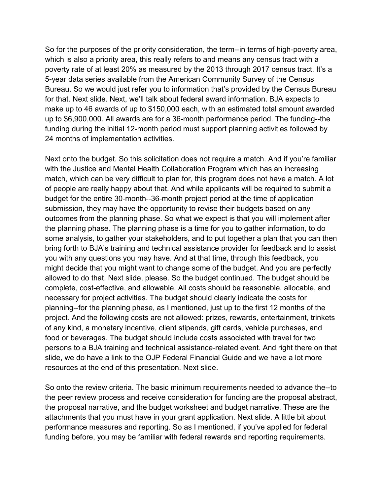for that. Next slide. Next, we'll talk about federal award information. BJA expects to 24 months of implementation activities. So for the purposes of the priority consideration, the term--in terms of high-poverty area, which is also a priority area, this really refers to and means any census tract with a poverty rate of at least 20% as measured by the 2013 through 2017 census tract. It's a 5-year data series available from the American Community Survey of the Census Bureau. So we would just refer you to information that's provided by the Census Bureau make up to 46 awards of up to \$150,000 each, with an estimated total amount awarded up to \$6,900,000. All awards are for a 36-month performance period. The funding--the funding during the initial 12-month period must support planning activities followed by

 match, which can be very difficult to plan for, this program does not have a match. A lot outcomes from the planning phase. So what we expect is that you will implement after resources at the end of this presentation. Next slide. Next onto the budget. So this solicitation does not require a match. And if you're familiar with the Justice and Mental Health Collaboration Program which has an increasing of people are really happy about that. And while applicants will be required to submit a budget for the entire 30-month--36-month project period at the time of application submission, they may have the opportunity to revise their budgets based on any the planning phase. The planning phase is a time for you to gather information, to do some analysis, to gather your stakeholders, and to put together a plan that you can then bring forth to BJA's training and technical assistance provider for feedback and to assist you with any questions you may have. And at that time, through this feedback, you might decide that you might want to change some of the budget. And you are perfectly allowed to do that. Next slide, please. So the budget continued. The budget should be complete, cost-effective, and allowable. All costs should be reasonable, allocable, and necessary for project activities. The budget should clearly indicate the costs for planning--for the planning phase, as I mentioned, just up to the first 12 months of the project. And the following costs are not allowed: prizes, rewards, entertainment, trinkets of any kind, a monetary incentive, client stipends, gift cards, vehicle purchases, and food or beverages. The budget should include costs associated with travel for two persons to a BJA training and technical assistance-related event. And right there on that slide, we do have a link to the OJP Federal Financial Guide and we have a lot more

 the peer review process and receive consideration for funding are the proposal abstract, attachments that you must have in your grant application. Next slide. A little bit about So onto the review criteria. The basic minimum requirements needed to advance the--to the proposal narrative, and the budget worksheet and budget narrative. These are the performance measures and reporting. So as I mentioned, if you've applied for federal funding before, you may be familiar with federal rewards and reporting requirements.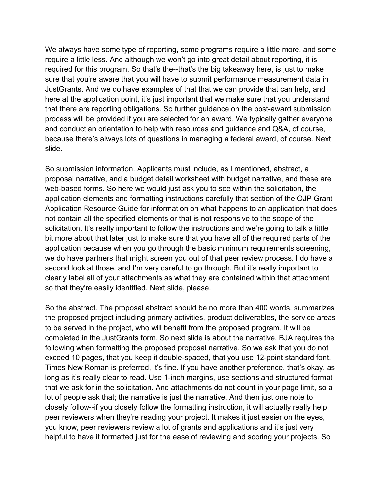and conduct an orientation to help with resources and guidance and Q&A, of course, slide. We always have some type of reporting, some programs require a little more, and some require a little less. And although we won't go into great detail about reporting, it is required for this program. So that's the--that's the big takeaway here, is just to make sure that you're aware that you will have to submit performance measurement data in JustGrants. And we do have examples of that that we can provide that can help, and here at the application point, it's just important that we make sure that you understand that there are reporting obligations. So further guidance on the post-award submission process will be provided if you are selected for an award. We typically gather everyone because there's always lots of questions in managing a federal award, of course. Next

 application elements and formatting instructions carefully that section of the OJP Grant Application Resource Guide for information on what happens to an application that does not contain all the specified elements or that is not responsive to the scope of the so that they're easily identified. Next slide, please. So submission information. Applicants must include, as I mentioned, abstract, a proposal narrative, and a budget detail worksheet with budget narrative, and these are web-based forms. So here we would just ask you to see within the solicitation, the solicitation. It's really important to follow the instructions and we're going to talk a little bit more about that later just to make sure that you have all of the required parts of the application because when you go through the basic minimum requirements screening, we do have partners that might screen you out of that peer review process. I do have a second look at those, and I'm very careful to go through. But it's really important to clearly label all of your attachments as what they are contained within that attachment

 peer reviewers when they're reading your project. It makes it just easier on the eyes, So the abstract. The proposal abstract should be no more than 400 words, summarizes the proposed project including primary activities, product deliverables, the service areas to be served in the project, who will benefit from the proposed program. It will be completed in the JustGrants form. So next slide is about the narrative. BJA requires the following when formatting the proposed proposal narrative. So we ask that you do not exceed 10 pages, that you keep it double-spaced, that you use 12-point standard font. Times New Roman is preferred, it's fine. If you have another preference, that's okay, as long as it's really clear to read. Use 1-inch margins, use sections and structured format that we ask for in the solicitation. And attachments do not count in your page limit, so a lot of people ask that; the narrative is just the narrative. And then just one note to closely follow--if you closely follow the formatting instruction, it will actually really help you know, peer reviewers review a lot of grants and applications and it's just very helpful to have it formatted just for the ease of reviewing and scoring your projects. So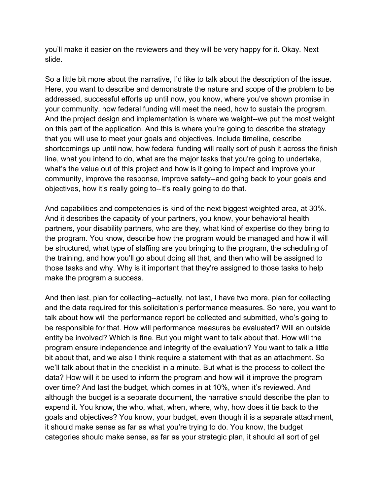you'll make it easier on the reviewers and they will be very happy for it. Okay. Next slide.

 addressed, successful efforts up until now, you know, where you've shown promise in your community, how federal funding will meet the need, how to sustain the program. shortcomings up until now, how federal funding will really sort of push it across the finish what's the value out of this project and how is it going to impact and improve your objectives, how it's really going to--it's really going to do that. So a little bit more about the narrative, I'd like to talk about the description of the issue. Here, you want to describe and demonstrate the nature and scope of the problem to be And the project design and implementation is where we weight--we put the most weight on this part of the application. And this is where you're going to describe the strategy that you will use to meet your goals and objectives. Include timeline, describe line, what you intend to do, what are the major tasks that you're going to undertake, community, improve the response, improve safety--and going back to your goals and

 And capabilities and competencies is kind of the next biggest weighted area, at 30%. the training, and how you'll go about doing all that, and then who will be assigned to make the program a success. And it describes the capacity of your partners, you know, your behavioral health partners, your disability partners, who are they, what kind of expertise do they bring to the program. You know, describe how the program would be managed and how it will be structured, what type of staffing are you bringing to the program, the scheduling of those tasks and why. Why is it important that they're assigned to those tasks to help

 be responsible for that. How will performance measures be evaluated? Will an outside categories should make sense, as far as your strategic plan, it should all sort of gel And then last, plan for collecting--actually, not last, I have two more, plan for collecting and the data required for this solicitation's performance measures. So here, you want to talk about how will the performance report be collected and submitted, who's going to entity be involved? Which is fine. But you might want to talk about that. How will the program ensure independence and integrity of the evaluation? You want to talk a little bit about that, and we also I think require a statement with that as an attachment. So we'll talk about that in the checklist in a minute. But what is the process to collect the data? How will it be used to inform the program and how will it improve the program over time? And last the budget, which comes in at 10%, when it's reviewed. And although the budget is a separate document, the narrative should describe the plan to expend it. You know, the who, what, when, where, why, how does it tie back to the goals and objectives? You know, your budget, even though it is a separate attachment, it should make sense as far as what you're trying to do. You know, the budget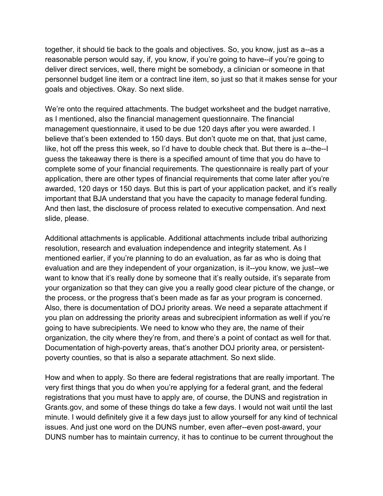goals and objectives. Okay. So next slide. together, it should tie back to the goals and objectives. So, you know, just as a--as a reasonable person would say, if, you know, if you're going to have--if you're going to deliver direct services, well, there might be somebody, a clinician or someone in that personnel budget line item or a contract line item, so just so that it makes sense for your

 management questionnaire, it used to be due 120 days after you were awarded. I believe that's been extended to 150 days. But don't quote me on that, that just came, guess the takeaway there is there is a specified amount of time that you do have to awarded, 120 days or 150 days. But this is part of your application packet, and it's really important that BJA understand that you have the capacity to manage federal funding. slide, please. We're onto the required attachments. The budget worksheet and the budget narrative, as I mentioned, also the financial management questionnaire. The financial like, hot off the press this week, so I'd have to double check that. But there is a--the--I complete some of your financial requirements. The questionnaire is really part of your application, there are other types of financial requirements that come later after you're And then last, the disclosure of process related to executive compensation. And next

poverty counties, so that is also a separate attachment. So next slide. Additional attachments is applicable. Additional attachments include tribal authorizing resolution, research and evaluation independence and integrity statement. As I mentioned earlier, if you're planning to do an evaluation, as far as who is doing that evaluation and are they independent of your organization, is it--you know, we just--we want to know that it's really done by someone that it's really outside, it's separate from your organization so that they can give you a really good clear picture of the change, or the process, or the progress that's been made as far as your program is concerned. Also, there is documentation of DOJ priority areas. We need a separate attachment if you plan on addressing the priority areas and subrecipient information as well if you're going to have subrecipients. We need to know who they are, the name of their organization, the city where they're from, and there's a point of contact as well for that. Documentation of high-poverty areas, that's another DOJ priority area, or persistent-

 registrations that you must have to apply are, of course, the DUNS and registration in How and when to apply. So there are federal registrations that are really important. The very first things that you do when you're applying for a federal grant, and the federal [Grants.gov,](https://Grants.gov) and some of these things do take a few days. I would not wait until the last minute. I would definitely give it a few days just to allow yourself for any kind of technical issues. And just one word on the DUNS number, even after--even post-award, your DUNS number has to maintain currency, it has to continue to be current throughout the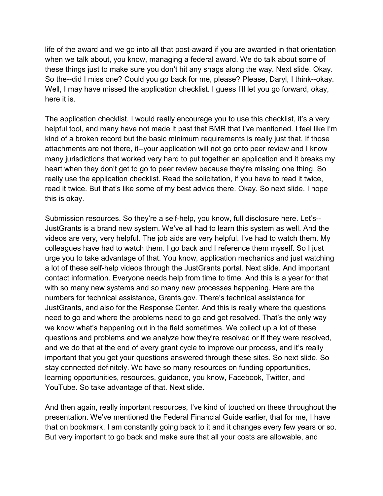life of the award and we go into all that post-award if you are awarded in that orientation these things just to make sure you don't hit any snags along the way. Next slide. Okay. So the--did I miss one? Could you go back for me, please? Please, Daryl, I think--okay. Well, I may have missed the application checklist. I guess I'll let you go forward, okay, here it is. when we talk about, you know, managing a federal award. We do talk about some of

 kind of a broken record but the basic minimum requirements is really just that. If those many jurisdictions that worked very hard to put together an application and it breaks my really use the application checklist. Read the solicitation, if you have to read it twice, read it twice. But that's like some of my best advice there. Okay. So next slide. I hope this is okay. The application checklist. I would really encourage you to use this checklist, it's a very helpful tool, and many have not made it past that BMR that I've mentioned. I feel like I'm attachments are not there, it--your application will not go onto peer review and I know heart when they don't get to go to peer review because they're missing one thing. So

 a lot of these self-help videos through the JustGrants portal. Next slide. And important contact information. Everyone needs help from time to time. And this is a year for that numbers for technical assistance, [Grants.gov](https://Grants.gov). There's technical assistance for need to go and where the problems need to go and get resolved. That's the only way YouTube. So take advantage of that. Next slide. Submission resources. So they're a self-help, you know, full disclosure here. Let's--JustGrants is a brand new system. We've all had to learn this system as well. And the videos are very, very helpful. The job aids are very helpful. I've had to watch them. My colleagues have had to watch them. I go back and I reference them myself. So I just urge you to take advantage of that. You know, application mechanics and just watching with so many new systems and so many new processes happening. Here are the JustGrants, and also for the Response Center. And this is really where the questions we know what's happening out in the field sometimes. We collect up a lot of these questions and problems and we analyze how they're resolved or if they were resolved, and we do that at the end of every grant cycle to improve our process, and it's really important that you get your questions answered through these sites. So next slide. So stay connected definitely. We have so many resources on funding opportunities, learning opportunities, resources, guidance, you know, Facebook, Twitter, and

And then again, really important resources, I've kind of touched on these throughout the presentation. We've mentioned the Federal Financial Guide earlier, that for me, I have that on bookmark. I am constantly going back to it and it changes every few years or so. But very important to go back and make sure that all your costs are allowable, and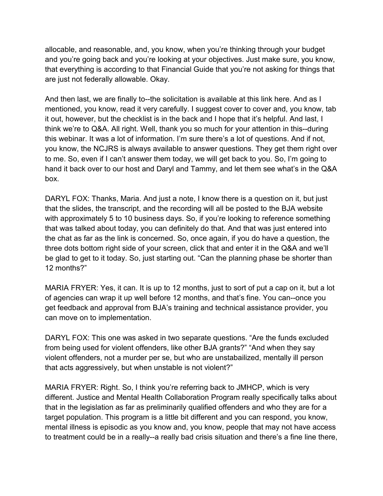are just not federally allowable. Okay. allocable, and reasonable, and, you know, when you're thinking through your budget and you're going back and you're looking at your objectives. Just make sure, you know, that everything is according to that Financial Guide that you're not asking for things that

 And then last, we are finally to--the solicitation is available at this link here. And as I think we're to Q&A. All right. Well, thank you so much for your attention in this--during this webinar. It was a lot of information. I'm sure there's a lot of questions. And if not, mentioned, you know, read it very carefully. I suggest cover to cover and, you know, tab it out, however, but the checklist is in the back and I hope that it's helpful. And last, I you know, the NCJRS is always available to answer questions. They get them right over to me. So, even if I can't answer them today, we will get back to you. So, I'm going to hand it back over to our host and Daryl and Tammy, and let them see what's in the Q&A box.

 DARYL FOX: Thanks, Maria. And just a note, I know there is a question on it, but just that the slides, the transcript, and the recording will all be posted to the BJA website with approximately 5 to 10 business days. So, if you're looking to reference something the chat as far as the link is concerned. So, once again, if you do have a question, the that was talked about today, you can definitely do that. And that was just entered into three dots bottom right side of your screen, click that and enter it in the Q&A and we'll be glad to get to it today. So, just starting out. "Can the planning phase be shorter than 12 months?"

MARIA FRYER: Yes, it can. It is up to 12 months, just to sort of put a cap on it, but a lot of agencies can wrap it up well before 12 months, and that's fine. You can--once you get feedback and approval from BJA's training and technical assistance provider, you can move on to implementation.

DARYL FOX: This one was asked in two separate questions. "Are the funds excluded from being used for violent offenders, like other BJA grants?" "And when they say violent offenders, not a murder per se, but who are unstabailized, mentally ill person that acts aggressively, but when unstable is not violent?"

 mental illness is episodic as you know and, you know, people that may not have access to treatment could be in a really--a really bad crisis situation and there's a fine line there, MARIA FRYER: Right. So, I think you're referring back to JMHCP, which is very different. Justice and Mental Health Collaboration Program really specifically talks about that in the legislation as far as preliminarily qualified offenders and who they are for a target population. This program is a little bit different and you can respond, you know,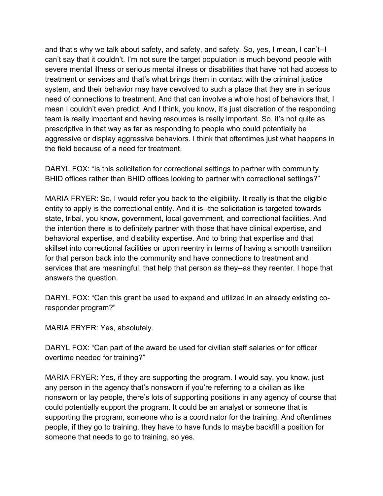severe mental illness or serious mental illness or disabilities that have not had access to prescriptive in that way as far as responding to people who could potentially be and that's why we talk about safety, and safety, and safety. So, yes, I mean, I can't--I can't say that it couldn't. I'm not sure the target population is much beyond people with treatment or services and that's what brings them in contact with the criminal justice system, and their behavior may have devolved to such a place that they are in serious need of connections to treatment. And that can involve a whole host of behaviors that, I mean I couldn't even predict. And I think, you know, it's just discretion of the responding team is really important and having resources is really important. So, it's not quite as aggressive or display aggressive behaviors. I think that oftentimes just what happens in the field because of a need for treatment.

DARYL FOX: "Is this solicitation for correctional settings to partner with community BHID offices rather than BHID offices looking to partner with correctional settings?"

MARIA FRYER: So, I would refer you back to the eligibility. It really is that the eligible entity to apply is the correctional entity. And it is--the solicitation is targeted towards state, tribal, you know, government, local government, and correctional facilities. And the intention there is to definitely partner with those that have clinical expertise, and behavioral expertise, and disability expertise. And to bring that expertise and that skillset into correctional facilities or upon reentry in terms of having a smooth transition for that person back into the community and have connections to treatment and services that are meaningful, that help that person as they--as they reenter. I hope that answers the question.

DARYL FOX: "Can this grant be used to expand and utilized in an already existing coresponder program?"

MARIA FRYER: Yes, absolutely.

 DARYL FOX: "Can part of the award be used for civilian staff salaries or for officer overtime needed for training?"

 could potentially support the program. It could be an analyst or someone that is supporting the program, someone who is a coordinator for the training. And oftentimes MARIA FRYER: Yes, if they are supporting the program. I would say, you know, just any person in the agency that's nonsworn if you're referring to a civilian as like nonsworn or lay people, there's lots of supporting positions in any agency of course that people, if they go to training, they have to have funds to maybe backfill a position for someone that needs to go to training, so yes.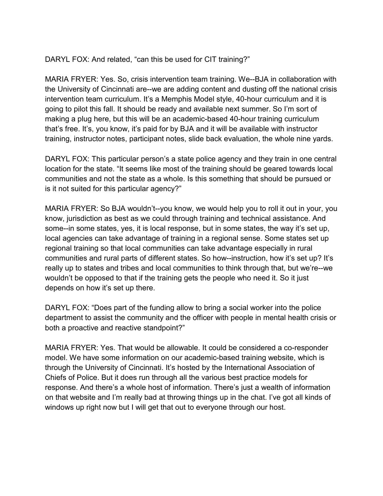DARYL FOX: And related, "can this be used for CIT training?"

 MARIA FRYER: Yes. So, crisis intervention team training. We--BJA in collaboration with going to pilot this fall. It should be ready and available next summer. So I'm sort of making a plug here, but this will be an academic-based 40-hour training curriculum the University of Cincinnati are--we are adding content and dusting off the national crisis intervention team curriculum. It's a Memphis Model style, 40-hour curriculum and it is that's free. It's, you know, it's paid for by BJA and it will be available with instructor training, instructor notes, participant notes, slide back evaluation, the whole nine yards.

DARYL FOX: This particular person's a state police agency and they train in one central location for the state. "It seems like most of the training should be geared towards local communities and not the state as a whole. Is this something that should be pursued or is it not suited for this particular agency?"

MARIA FRYER: So BJA wouldn't--you know, we would help you to roll it out in your, you know, jurisdiction as best as we could through training and technical assistance. And some--in some states, yes, it is local response, but in some states, the way it's set up, local agencies can take advantage of training in a regional sense. Some states set up regional training so that local communities can take advantage especially in rural communities and rural parts of different states. So how--instruction, how it's set up? It's really up to states and tribes and local communities to think through that, but we're--we wouldn't be opposed to that if the training gets the people who need it. So it just depends on how it's set up there.

 DARYL FOX: "Does part of the funding allow to bring a social worker into the police department to assist the community and the officer with people in mental health crisis or both a proactive and reactive standpoint?"

 Chiefs of Police. But it does run through all the various best practice models for MARIA FRYER: Yes. That would be allowable. It could be considered a co-responder model. We have some information on our academic-based training website, which is through the University of Cincinnati. It's hosted by the International Association of response. And there's a whole host of information. There's just a wealth of information on that website and I'm really bad at throwing things up in the chat. I've got all kinds of windows up right now but I will get that out to everyone through our host.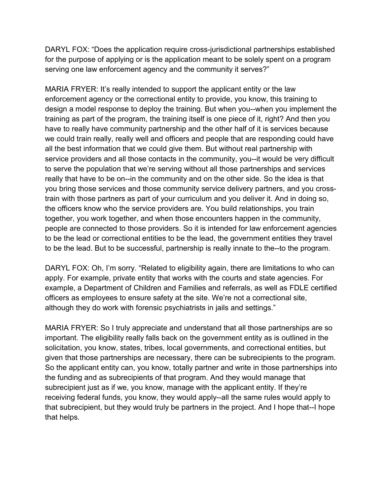DARYL FOX: "Does the application require cross-jurisdictional partnerships established for the purpose of applying or is the application meant to be solely spent on a program serving one law enforcement agency and the community it serves?"

 service providers and all those contacts in the community, you--it would be very difficult to serve the population that we're serving without all those partnerships and services together, you work together, and when those encounters happen in the community, people are connected to those providers. So it is intended for law enforcement agencies to be the lead or correctional entities to be the lead, the government entities they travel MARIA FRYER: It's really intended to support the applicant entity or the law enforcement agency or the correctional entity to provide, you know, this training to design a model response to deploy the training. But when you--when you implement the training as part of the program, the training itself is one piece of it, right? And then you have to really have community partnership and the other half of it is services because we could train really, really well and officers and people that are responding could have all the best information that we could give them. But without real partnership with really that have to be on--in the community and on the other side. So the idea is that you bring those services and those community service delivery partners, and you crosstrain with those partners as part of your curriculum and you deliver it. And in doing so, the officers know who the service providers are. You build relationships, you train to be the lead. But to be successful, partnership is really innate to the--to the program.

DARYL FOX: Oh, I'm sorry. "Related to eligibility again, there are limitations to who can apply. For example, private entity that works with the courts and state agencies. For example, a Department of Children and Families and referrals, as well as FDLE certified officers as employees to ensure safety at the site. We're not a correctional site, although they do work with forensic psychiatrists in jails and settings."

 So the applicant entity can, you know, totally partner and write in those partnerships into the funding and as subrecipients of that program. And they would manage that MARIA FRYER: So I truly appreciate and understand that all those partnerships are so important. The eligibility really falls back on the government entity as is outlined in the solicitation, you know, states, tribes, local governments, and correctional entities, but given that those partnerships are necessary, there can be subrecipients to the program. subrecipient just as if we, you know, manage with the applicant entity. If they're receiving federal funds, you know, they would apply--all the same rules would apply to that subrecipient, but they would truly be partners in the project. And I hope that--I hope that helps.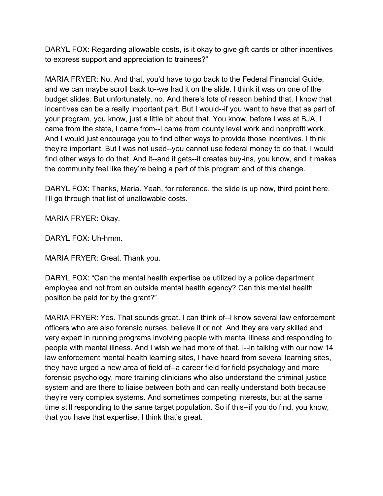DARYL FOX: Regarding allowable costs, is it okay to give gift cards or other incentives to express support and appreciation to trainees?"

 MARIA FRYER: No. And that, you'd have to go back to the Federal Financial Guide, and we can maybe scroll back to--we had it on the slide. I think it was on one of the incentives can be a really important part. But I would--if you want to have that as part of your program, you know, just a little bit about that. You know, before I was at BJA, I came from the state, I came from--I came from county level work and nonprofit work. they're important. But I was not used--you cannot use federal money to do that. I would the community feel like they're being a part of this program and of this change. budget slides. But unfortunately, no. And there's lots of reason behind that. I know that And I would just encourage you to find other ways to provide those incentives. I think find other ways to do that. And it--and it gets--it creates buy-ins, you know, and it makes

 DARYL FOX: Thanks, Maria. Yeah, for reference, the slide is up now, third point here. I'll go through that list of unallowable costs.

MARIA FRYER: Okay.

DARYL FOX: Uh-hmm.

MARIA FRYER: Great. Thank you.

DARYL FOX: "Can the mental health expertise be utilized by a police department employee and not from an outside mental health agency? Can this mental health position be paid for by the grant?"

 they have urged a new area of field of--a career field for field psychology and more they're very complex systems. And sometimes competing interests, but at the same that you have that expertise, I think that's great. MARIA FRYER: Yes. That sounds great. I can think of--I know several law enforcement officers who are also forensic nurses, believe it or not. And they are very skilled and very expert in running programs involving people with mental illness and responding to people with mental illness. And I wish we had more of that. I--in talking with our now 14 law enforcement mental health learning sites, I have heard from several learning sites, forensic psychology, more training clinicians who also understand the criminal justice system and are there to liaise between both and can really understand both because time still responding to the same target population. So if this--if you do find, you know,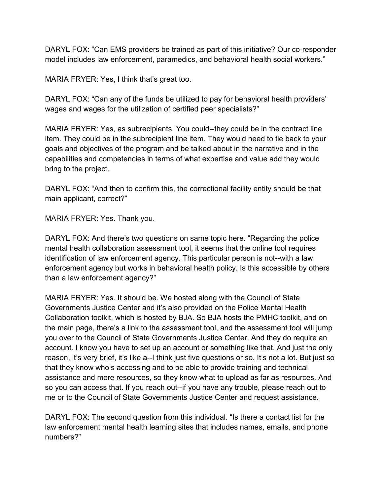DARYL FOX: "Can EMS providers be trained as part of this initiative? Our co-responder model includes law enforcement, paramedics, and behavioral health social workers."

MARIA FRYER: Yes, I think that's great too.

DARYL FOX: "Can any of the funds be utilized to pay for behavioral health providers' wages and wages for the utilization of certified peer specialists?"

MARIA FRYER: Yes, as subrecipients. You could--they could be in the contract line item. They could be in the subrecipient line item. They would need to tie back to your goals and objectives of the program and be talked about in the narrative and in the capabilities and competencies in terms of what expertise and value add they would bring to the project.

DARYL FOX: "And then to confirm this, the correctional facility entity should be that main applicant, correct?"

MARIA FRYER: Yes. Thank you.

 identification of law enforcement agency. This particular person is not--with a law DARYL FOX: And there's two questions on same topic here. "Regarding the police mental health collaboration assessment tool, it seems that the online tool requires enforcement agency but works in behavioral health policy. Is this accessible by others than a law enforcement agency?"

 MARIA FRYER: Yes. It should be. We hosted along with the Council of State Collaboration toolkit, which is hosted by BJA. So BJA hosts the PMHC toolkit, and on Governments Justice Center and it's also provided on the Police Mental Health the main page, there's a link to the assessment tool, and the assessment tool will jump you over to the Council of State Governments Justice Center. And they do require an account. I know you have to set up an account or something like that. And just the only reason, it's very brief, it's like a--I think just five questions or so. It's not a lot. But just so that they know who's accessing and to be able to provide training and technical assistance and more resources, so they know what to upload as far as resources. And so you can access that. If you reach out--if you have any trouble, please reach out to me or to the Council of State Governments Justice Center and request assistance.

DARYL FOX: The second question from this individual. "Is there a contact list for the law enforcement mental health learning sites that includes names, emails, and phone numbers?"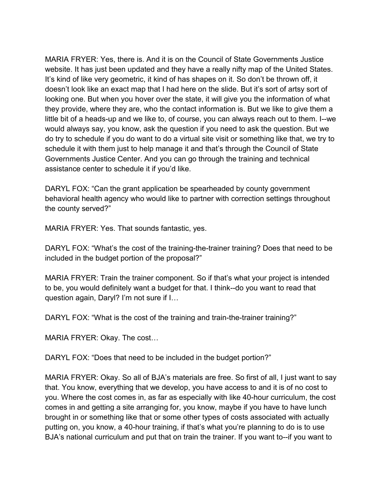would always say, you know, ask the question if you need to ask the question. But we MARIA FRYER: Yes, there is. And it is on the Council of State Governments Justice website. It has just been updated and they have a really nifty map of the United States. It's kind of like very geometric, it kind of has shapes on it. So don't be thrown off, it doesn't look like an exact map that I had here on the slide. But it's sort of artsy sort of looking one. But when you hover over the state, it will give you the information of what they provide, where they are, who the contact information is. But we like to give them a little bit of a heads-up and we like to, of course, you can always reach out to them. I--we do try to schedule if you do want to do a virtual site visit or something like that, we try to schedule it with them just to help manage it and that's through the Council of State Governments Justice Center. And you can go through the training and technical assistance center to schedule it if you'd like.

DARYL FOX: "Can the grant application be spearheaded by county government behavioral health agency who would like to partner with correction settings throughout the county served?"

MARIA FRYER: Yes. That sounds fantastic, yes.

DARYL FOX: "What's the cost of the training-the-trainer training? Does that need to be included in the budget portion of the proposal?"

MARIA FRYER: Train the trainer component. So if that's what your project is intended to be, you would definitely want a budget for that. I think--do you want to read that question again, Daryl? I'm not sure if I…

DARYL FOX: "What is the cost of the training and train-the-trainer training?"

MARIA FRYER: Okay. The cost…

DARYL FOX: "Does that need to be included in the budget portion?"

 MARIA FRYER: Okay. So all of BJA's materials are free. So first of all, I just want to say that. You know, everything that we develop, you have access to and it is of no cost to you. Where the cost comes in, as far as especially with like 40-hour curriculum, the cost comes in and getting a site arranging for, you know, maybe if you have to have lunch brought in or something like that or some other types of costs associated with actually putting on, you know, a 40-hour training, if that's what you're planning to do is to use BJA's national curriculum and put that on train the trainer. If you want to--if you want to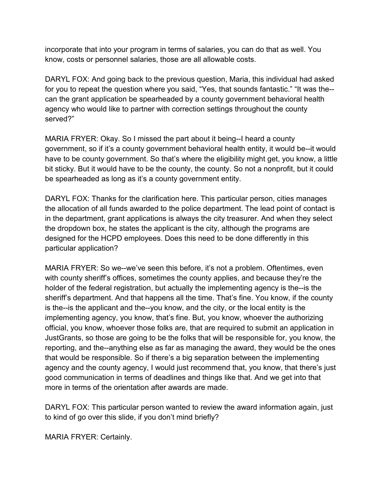incorporate that into your program in terms of salaries, you can do that as well. You know, costs or personnel salaries, those are all allowable costs.

 for you to repeat the question where you said, "Yes, that sounds fantastic." "It was the-- agency who would like to partner with correction settings throughout the county DARYL FOX: And going back to the previous question, Maria, this individual had asked can the grant application be spearheaded by a county government behavioral health served?"

MARIA FRYER: Okay. So I missed the part about it being--I heard a county government, so if it's a county government behavioral health entity, it would be--it would have to be county government. So that's where the eligibility might get, you know, a little bit sticky. But it would have to be the county, the county. So not a nonprofit, but it could be spearheaded as long as it's a county government entity.

DARYL FOX: Thanks for the clarification here. This particular person, cities manages the allocation of all funds awarded to the police department. The lead point of contact is in the department, grant applications is always the city treasurer. And when they select the dropdown box, he states the applicant is the city, although the programs are designed for the HCPD employees. Does this need to be done differently in this particular application?

 sheriff's department. And that happens all the time. That's fine. You know, if the county is the--is the applicant and the--you know, and the city, or the local entity is the reporting, and the--anything else as far as managing the award, they would be the ones MARIA FRYER: So we--we've seen this before, it's not a problem. Oftentimes, even with county sheriff's offices, sometimes the county applies, and because they're the holder of the federal registration, but actually the implementing agency is the--is the implementing agency, you know, that's fine. But, you know, whoever the authorizing official, you know, whoever those folks are, that are required to submit an application in JustGrants, so those are going to be the folks that will be responsible for, you know, the that would be responsible. So if there's a big separation between the implementing agency and the county agency, I would just recommend that, you know, that there's just good communication in terms of deadlines and things like that. And we get into that more in terms of the orientation after awards are made.

DARYL FOX: This particular person wanted to review the award information again, just to kind of go over this slide, if you don't mind briefly?

MARIA FRYER: Certainly.